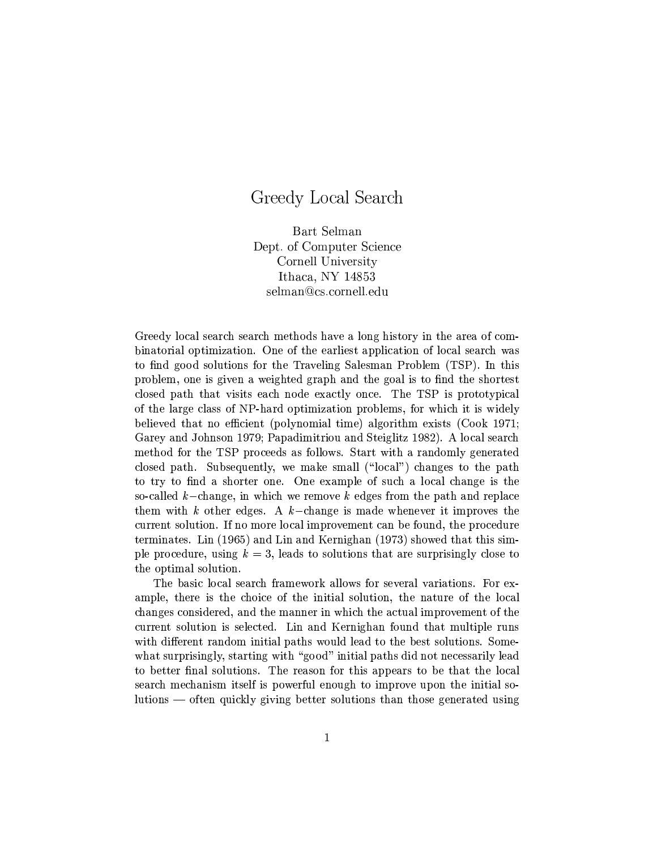## Greedy Local Search

Bart Selman Dept. of Computer Science Cornell University Ithaca, NY  $14853$ selman@cs.cornell.edu

Greedy local search search methods have a long history in the area of combinatorial optimization. One of the earliest application of local search was to find good solutions for the Traveling Salesman Problem (TSP). In this problem, one is given a weighted graph and the goal is to find the shortest closed path that visits each node exactly once. The TSP is prototypical of the large class of NP-hard optimization problems, for which it is widely believed that no efficient (polynomial time) algorithm exists (Cook 1971; Garey and Johnson 1979; Papadimitriou and Steiglitz 1982). A local search method for the TSP proceeds as follows. Start with a randomly generated closed path. Subsequently, we make small ("local") changes to the path to try to find a shorter one. One example of such a local change is the so-called  $k$ -change, in which we remove k edges from the path and replace them with  $k$  other edges. A  $k$ -change is made whenever it improves the current solution. If no more local improvement can be found, the procedure terminates. Lin (1965) and Lin and Kernighan (1973) showed that this simple procedure, using  $k = 3$ , leads to solutions that are surprisingly close to the optimal solution.

The basic local search framework allows for several variations. For example, there is the choice of the initial solution, the nature of the local changes considered, and the manner in which the actual improvement of the current solution is selected. Lin and Kernighan found that multiple runs with different random initial paths would lead to the best solutions. Somewhat surprisingly, starting with "good" initial paths did not necessarily lead to better final solutions. The reason for this appears to be that the local search mechanism itself is powerful enough to improve upon the initial solutions — often quickly giving better solutions than those generated using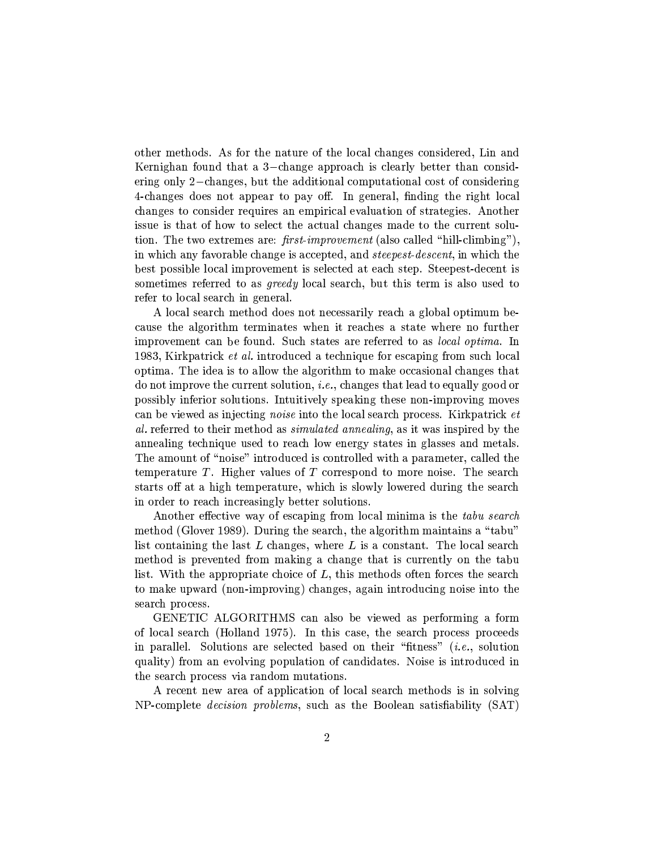other methods. As for the nature of the local changes considered, Lin and Kernighan found that a 3-change approach is clearly better than considering only 2-changes, but the additional computational cost of considering 4-changes does not appear to pay off. In general, finding the right local changes to consider requires an empirical evaluation of strategies. Another issue is that of how to select the actual changes made to the current solution. The two extremes are:  $first\text{-}improvement$  (also called "hill-climbing"). in which any favorable change is accepted, and *steepest-descent*, in which the best possible local improvement is selected at each step. Steepest-decent is sometimes referred to as *greedy* local search, but this term is also used to refer to local search in general.

A local search method does not necessarily reach a global optimum because the algorithm terminates when it reaches a state where no further improvement can be found. Such states are referred to as *local optima*. In 1983, Kirkpatrick *et al.* introduced a technique for escaping from such local optima. The idea is to allow the algorithm to make occasional changes that do not improve the current solution, *i.e.*, changes that lead to equally good or possibly inferior solutions. Intuitively speaking these non-improving moves can be viewed as injecting *noise* into the local search process. Kirkpatrick *et* al. referred to their method as *simulated annealing*, as it was inspired by the annealing technique used to reach low energy states in glasses and metals. The amount of "noise" introduced is controlled with a parameter, called the temperature  $T$ . Higher values of  $T$  correspond to more noise. The search starts off at a high temperature, which is slowly lowered during the search in order to reach increasingly better solutions.

Another effective way of escaping from local minima is the tabu search method (Glover 1989). During the search, the algorithm maintains a "tabu" list containing the last  $L$  changes, where  $L$  is a constant. The local search method is prevented from making a change that is currently on the tabu list. With the appropriate choice of  $L$ , this methods often forces the search to make upward (non-improving) changes, again introducing noise into the search process.

GENETIC ALGORITHMS can also be viewed as performing a form of local search (Holland 1975). In this case, the search process proceeds in parallel. Solutions are selected based on their "fitness"  $(i.e.,$  solution quality) from an evolving population of candidates. Noise is introduced in the search process via random mutations.

A recent new area of application of local search methods is in solving NP-complete *decision problems*, such as the Boolean satisfiability (SAT)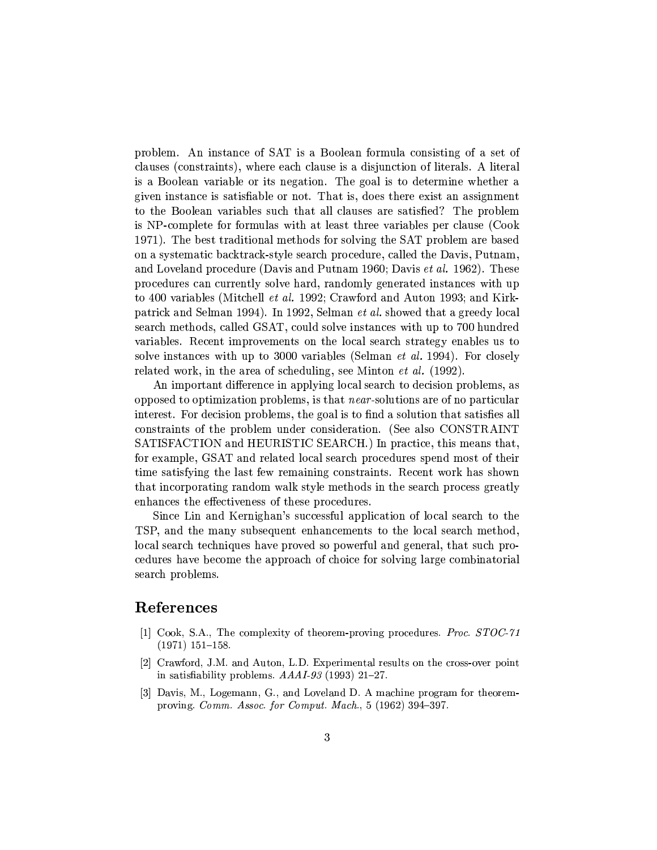problem. An instance of SAT is a Boolean formula consisting of a set of clauses (constraints), where each clause is a disjunction of literals. A literal is a Boolean variable or its negation. The goal is to determine whether a given instance is satisfiable or not. That is, does there exist an assignment to the Boolean variables such that all clauses are satisfied? The problem is NP-complete for formulas with at least three variables per clause (Cook 1971). The best traditional methods for solving the SAT problem are based on a systematic backtrack-style search procedure, called the Davis, Putnam, and Loveland procedure (Davis and Putnam 1960; Davis *et al.* 1962). These procedures can currently solve hard, randomly generated instances with up to 400 variables (Mitchell *et al.* 1992; Crawford and Auton 1993; and Kirkpatrick and Selman 1994). In 1992, Selman et al. showed that a greedy local search methods, called GSAT, could solve instances with up to 700 hundred variables. Recent improvements on the local search strategy enables us to solve instances with up to 3000 variables (Selman *et al.* 1994). For closely related work, in the area of scheduling, see Minton *et al.* (1992).

An important difference in applying local search to decision problems, as opposed to optimization problems, is that *near*-solutions are of no particular interest. For decision problems, the goal is to find a solution that satisfies all constraints of the problem under consideration. (See also CONSTRAINT SATISFACTION and HEURISTIC SEARCH.) In practice, this means that. for example, GSAT and related local search procedures spend most of their time satisfying the last few remaining constraints. Recent work has shown that incorporating random walk style methods in the search process greatly enhances the effectiveness of these procedures.

Since Lin and Kernighan's successful application of local search to the TSP, and the many subsequent enhancements to the local search method, local search techniques have proved so powerful and general, that such procedures have become the approach of choice for solving large combinatorial search problems.

## References

- [1] Cook, S.A., The complexity of theorem-proving procedures. Proc. STOC-71  $(1971)$  151-158.
- [2] Crawford, J.M. and Auton, L.D. Experimental results on the cross-over point in satisfiability problems.  $AAAI-93$  (1993) 21-27.
- [3] Davis, M., Logemann, G., and Loveland D. A machine program for theoremproving. Comm. Assoc. for Comput. Mach., 5 (1962) 394-397.